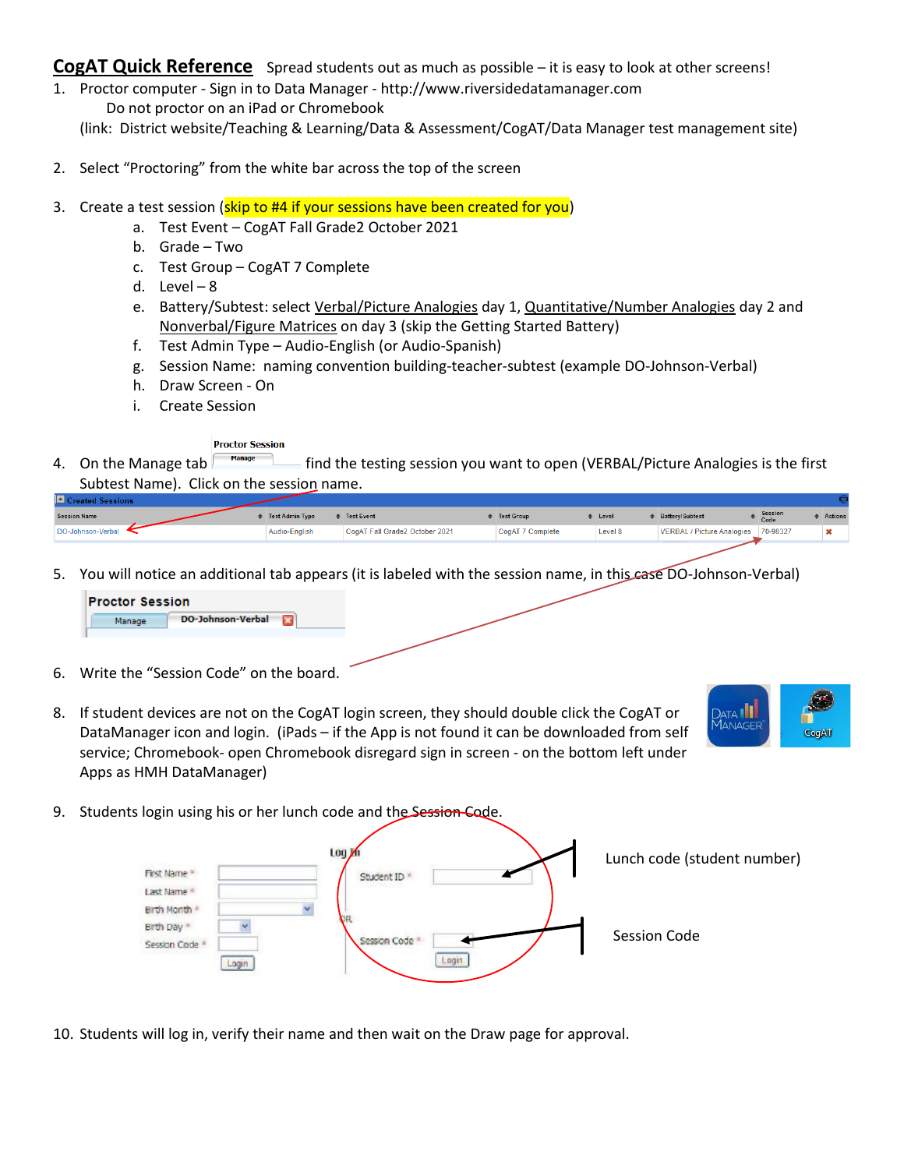CogAT **Quick Reference** Spread students out as much as possible – it is easy to look at other screens!

- 1. Proctor computer Sign in to Data Manager http://www.riversidedatamanager.com Do not proctor on an iPad or Chromebook (link: District website/Teaching & Learning/Data & Assessment/CogAT/Data Manager test management site)
- 2. Select "Proctoring" from the white bar across the top of the screen
- 3. Create a test session (skip to #4 if your sessions have been created for you)
	- a. Test Event CogAT Fall Grade2 October 2021
	- b. Grade Two
	- c. Test Group CogAT 7 Complete
	- d. Level 8
	- e. Battery/Subtest: select Verbal/Picture Analogies day 1, Quantitative/Number Analogies day 2 and Nonverbal/Figure Matrices on day 3 (skip the Getting Started Battery)
	- f. Test Admin Type Audio-English (or Audio-Spanish)
	- g. Session Name: naming convention building-teacher-subtest (example DO-Johnson-Verbal)
	- h. Draw Screen On
	- i. Create Session

#### **Proctor Session**

4. On the Manage tab  $\blacksquare$  find the testing session you want to open (VERBAL/Picture Analogies is the first Subtest Name). Click on the session name.

| i⊟ Created Sessions i |                        |                                |                   |         |                                     |                        |                |
|-----------------------|------------------------|--------------------------------|-------------------|---------|-------------------------------------|------------------------|----------------|
| <b>Session Name</b>   | <b>Test Admin Type</b> | <b>Contract Figure 1</b>       | <b>Test Group</b> | Level   | <b>Battery/Subtest</b>              | <b>Session</b><br>Code | <b>Actions</b> |
| DO-Johnson-Verbal     | Audio-English          | CogAT Fall Grade2 October 2021 | CogAT 7 Complete  | Level 8 | VERBAL / Picture Analogies 70-98327 |                        |                |
|                       |                        |                                |                   |         |                                     |                        |                |

5. You will notice an additional tab appears (it is labeled with the session name, in this case DO-Johnson-Verbal)



- 6. Write the "Session Code" on the board.
- 8. If student devices are not on the CogAT login screen, they should double click the CogAT or DataManager icon and login. (iPads – if the App is not found it can be downloaded from self service; Chromebook- open Chromebook disregard sign in screen - on the bottom left under Apps as HMH DataManager)



9. Students login using his or her lunch code and the Session Code.



10. Students will log in, verify their name and then wait on the Draw page for approval.